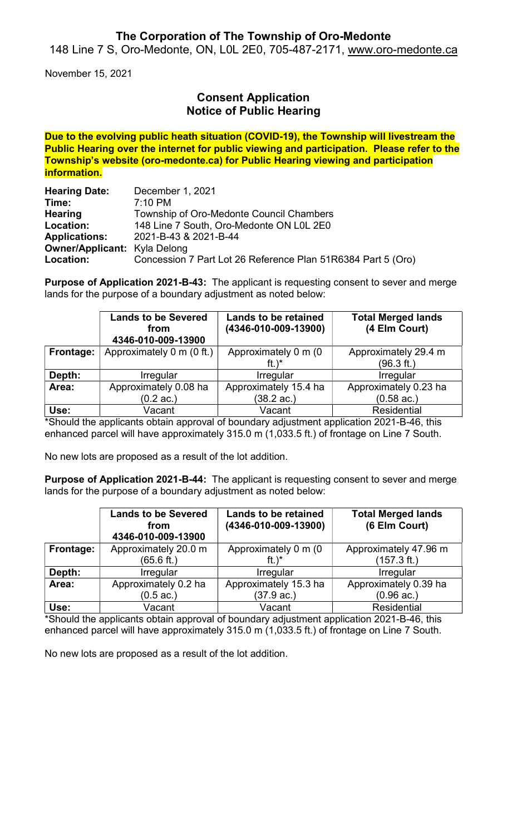### The Corporation of The Township of Oro-Medonte

148 Line 7 S, Oro-Medonte, ON, L0L 2E0, 705-487-2171, www.oro-medonte.ca

November 15, 2021

## Consent Application Notice of Public Hearing

Due to the evolving public heath situation (COVID-19), the Township will livestream the Public Hearing over the internet for public viewing and participation. Please refer to the Township's website (oro-medonte.ca) for Public Hearing viewing and participation information.

| <b>Hearing Date:</b>                | December 1, 2021                                             |
|-------------------------------------|--------------------------------------------------------------|
| Time:                               | $7:10 \text{ PM}$                                            |
| <b>Hearing</b>                      | Township of Oro-Medonte Council Chambers                     |
| Location:                           | 148 Line 7 South, Oro-Medonte ON L0L 2E0                     |
| <b>Applications:</b>                | 2021-B-43 & 2021-B-44                                        |
| <b>Owner/Applicant:</b> Kyla Delong |                                                              |
| Location:                           | Concession 7 Part Lot 26 Reference Plan 51R6384 Part 5 (Oro) |

Purpose of Application 2021-B-43: The applicant is requesting consent to sever and merge lands for the purpose of a boundary adjustment as noted below:

|           | <b>Lands to be Severed</b><br>from<br>4346-010-009-13900 | <b>Lands to be retained</b><br>(4346-010-009-13900) | <b>Total Merged lands</b><br>(4 Elm Court) |
|-----------|----------------------------------------------------------|-----------------------------------------------------|--------------------------------------------|
| Frontage: | Approximately 0 m (0 ft.)                                | Approximately 0 m (0<br>ft.) $*$                    | Approximately 29.4 m<br>(96.3 ft.)         |
| Depth:    | <b>Irregular</b>                                         | Irregular                                           | <b>Irregular</b>                           |
| Area:     | Approximately 0.08 ha                                    | Approximately 15.4 ha                               | Approximately 0.23 ha                      |
|           | $(0.2 \text{ ac.})$                                      | $(38.2 \text{ ac.})$                                | $(0.58$ ac.)                               |
| Use:      | Vacant                                                   | Vacant                                              | <b>Residential</b>                         |

\*Should the applicants obtain approval of boundary adjustment application 2021-B-46, this enhanced parcel will have approximately 315.0 m (1,033.5 ft.) of frontage on Line 7 South.

No new lots are proposed as a result of the lot addition.

Purpose of Application 2021-B-44: The applicant is requesting consent to sever and merge lands for the purpose of a boundary adjustment as noted below:

|           | <b>Lands to be Severed</b><br>from<br>4346-010-009-13900 | <b>Lands to be retained</b><br>(4346-010-009-13900) | <b>Total Merged lands</b><br>(6 Elm Court) |
|-----------|----------------------------------------------------------|-----------------------------------------------------|--------------------------------------------|
| Frontage: | Approximately 20.0 m                                     | Approximately 0 m (0                                | Approximately 47.96 m                      |
|           | (65.6 ft.)                                               | ft. $)^*$                                           | $(157.3 \text{ ft.})$                      |
| Depth:    | <b>Irregular</b>                                         | <b>Irregular</b>                                    | <b>Irregular</b>                           |
| Area:     | Approximately 0.2 ha                                     | Approximately 15.3 ha                               | Approximately 0.39 ha                      |
|           | $(0.5 \text{ ac.})$                                      | (37.9 ac.)                                          | $(0.96$ ac.)                               |
| Use:      | Vacant                                                   | Vacant                                              | <b>Residential</b>                         |

\*Should the applicants obtain approval of boundary adjustment application 2021-B-46, this enhanced parcel will have approximately 315.0 m (1,033.5 ft.) of frontage on Line 7 South.

No new lots are proposed as a result of the lot addition.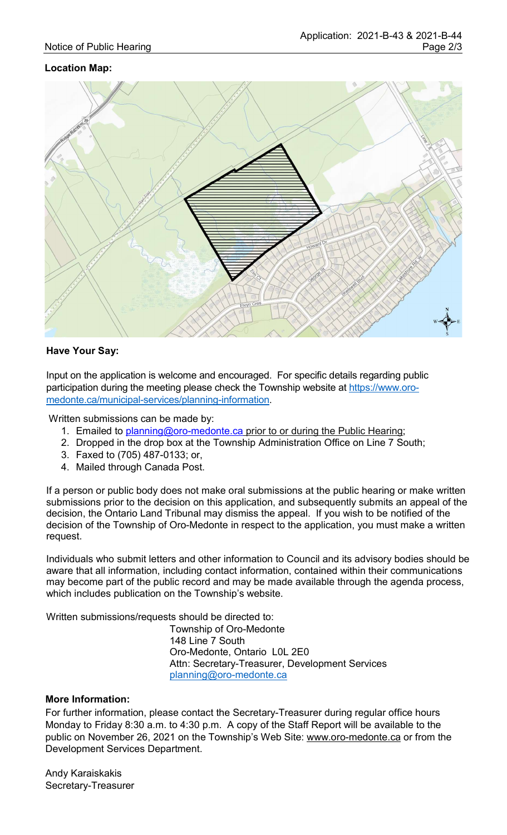#### Location Map:



#### Have Your Say:

Input on the application is welcome and encouraged. For specific details regarding public participation during the meeting please check the Township website at https://www.oromedonte.ca/municipal-services/planning-information.

Written submissions can be made by:

- 1. Emailed to planning@oro-medonte.ca prior to or during the Public Hearing;
- 2. Dropped in the drop box at the Township Administration Office on Line 7 South;
- 3. Faxed to (705) 487-0133; or,
- 4. Mailed through Canada Post.

If a person or public body does not make oral submissions at the public hearing or make written submissions prior to the decision on this application, and subsequently submits an appeal of the decision, the Ontario Land Tribunal may dismiss the appeal. If you wish to be notified of the decision of the Township of Oro-Medonte in respect to the application, you must make a written request.

Individuals who submit letters and other information to Council and its advisory bodies should be aware that all information, including contact information, contained within their communications may become part of the public record and may be made available through the agenda process, which includes publication on the Township's website.

Written submissions/requests should be directed to:

Township of Oro-Medonte 148 Line 7 South Oro-Medonte, Ontario L0L 2E0 Attn: Secretary-Treasurer, Development Services planning@oro-medonte.ca

#### More Information:

For further information, please contact the Secretary-Treasurer during regular office hours Monday to Friday 8:30 a.m. to 4:30 p.m. A copy of the Staff Report will be available to the public on November 26, 2021 on the Township's Web Site: www.oro-medonte.ca or from the Development Services Department.

Andy Karaiskakis Secretary-Treasurer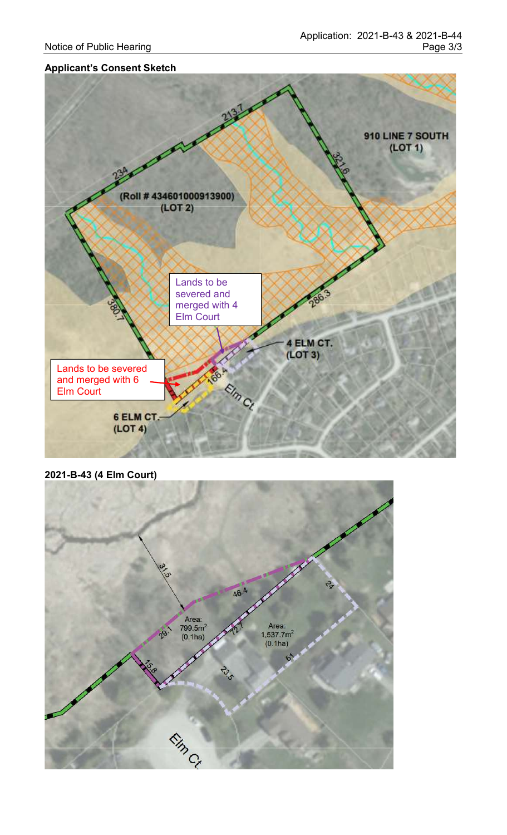#### Applicant's Consent Sketch



2021-B-43 (4 Elm Court)